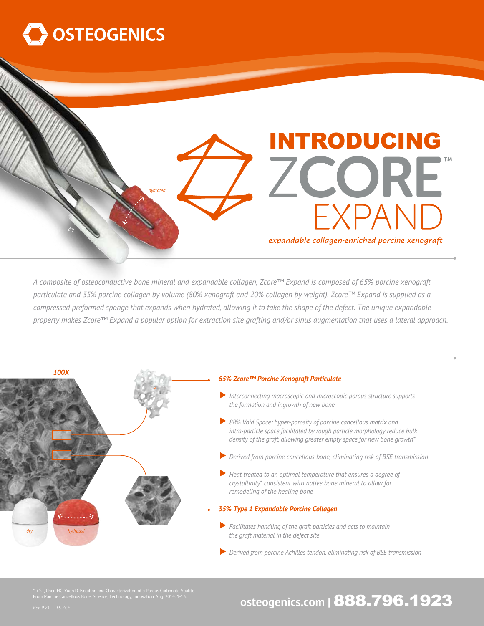

## ZCORE *hydrated* EXPAND *dry* expandable collagen-enriched porcine xenograft

*A composite of osteoconductive bone mineral and expandable collagen, Zcore™ Expand is composed of 65% porcine xenograft particulate and 35% porcine collagen by volume (80% xenograft and 20% collagen by weight). Zcore™ Expand is supplied as a compressed preformed sponge that expands when hydrated, allowing it to take the shape of the defect. The unique expandable property makes Zcore™ Expand a popular option for extraction site grafting and/or sinus augmentation that uses a lateral approach.*



\*Li ST, Chen HC, Yuen D. Isolation and Characterization of a Porous Carbonate Apatite From Porcine Cancellous Bone. Science, Technology, Innovation, Aug. 2014: 1-13.

### **osteogenics.com |** 888.796.1923

INTRODUCING